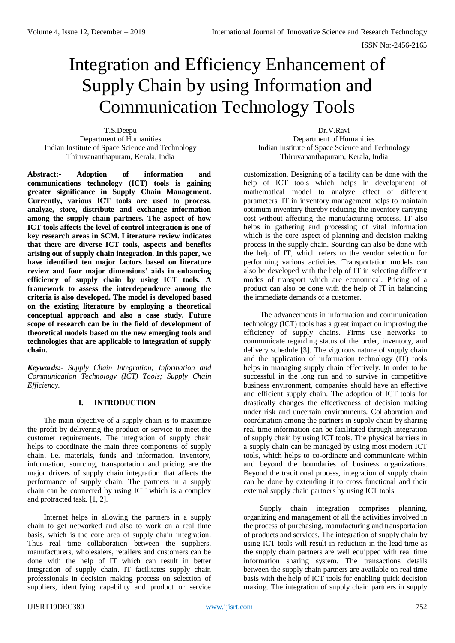# Integration and Efficiency Enhancement of Supply Chain by using Information and Communication Technology Tools

T.S.Deepu Department of Humanities Indian Institute of Space Science and Technology Thiruvananthapuram, Kerala, India

**Abstract:- Adoption of information and communications technology (ICT) tools is gaining greater significance in Supply Chain Management. Currently, various ICT tools are used to process, analyze, store, distribute and exchange information among the supply chain partners. The aspect of how ICT tools affects the level of control integration is one of key research areas in SCM. Literature review indicates that there are diverse ICT tools, aspects and benefits arising out of supply chain integration. In this paper, we have identified ten major factors based on literature review and four major dimensions' aids in enhancing efficiency of supply chain by using ICT tools. A framework to assess the interdependence among the criteria is also developed. The model is developed based on the existing literature by employing a theoretical conceptual approach and also a case study. Future scope of research can be in the field of development of theoretical models based on the new emerging tools and technologies that are applicable to integration of supply chain.**

*Keywords:- Supply Chain Integration; Information and Communication Technology (ICT) Tools; Supply Chain Efficiency.*

## **I. INTRODUCTION**

The main objective of a supply chain is to maximize the profit by delivering the product or service to meet the customer requirements. The integration of supply chain helps to coordinate the main three components of supply chain, i.e. materials, funds and information. Inventory, information, sourcing, transportation and pricing are the major drivers of supply chain integration that affects the performance of supply chain. The partners in a supply chain can be connected by using ICT which is a complex and protracted task. [1, 2].

Internet helps in allowing the partners in a supply chain to get networked and also to work on a real time basis, which is the core area of supply chain integration. Thus real time collaboration between the suppliers, manufacturers, wholesalers, retailers and customers can be done with the help of IT which can result in better integration of supply chain. IT facilitates supply chain professionals in decision making process on selection of suppliers, identifying capability and product or service

Dr.V.Ravi Department of Humanities Indian Institute of Space Science and Technology Thiruvananthapuram, Kerala, India

customization. Designing of a facility can be done with the help of ICT tools which helps in development of mathematical model to analyze effect of different parameters. IT in inventory management helps to maintain optimum inventory thereby reducing the inventory carrying cost without affecting the manufacturing process. IT also helps in gathering and processing of vital information which is the core aspect of planning and decision making process in the supply chain. Sourcing can also be done with the help of IT, which refers to the vendor selection for performing various activities. Transportation models can also be developed with the help of IT in selecting different modes of transport which are economical. Pricing of a product can also be done with the help of IT in balancing the immediate demands of a customer.

The advancements in information and communication technology (ICT) tools has a great impact on improving the efficiency of supply chains. Firms use networks to communicate regarding status of the order, inventory, and delivery schedule [3]. The vigorous nature of supply chain and the application of information technology (IT) tools helps in managing supply chain effectively. In order to be successful in the long run and to survive in competitive business environment, companies should have an effective and efficient supply chain. The adoption of ICT tools for drastically changes the effectiveness of decision making under risk and uncertain environments. Collaboration and coordination among the partners in supply chain by sharing real time information can be facilitated through integration of supply chain by using ICT tools. The physical barriers in a supply chain can be managed by using most modern ICT tools, which helps to co-ordinate and communicate within and beyond the boundaries of business organizations. Beyond the traditional process, integration of supply chain can be done by extending it to cross functional and their external supply chain partners by using ICT tools.

Supply chain integration comprises planning, organizing and management of all the activities involved in the process of purchasing, manufacturing and transportation of products and services. The integration of supply chain by using ICT tools will result in reduction in the lead time as the supply chain partners are well equipped with real time information sharing system. The transactions details between the supply chain partners are available on real time basis with the help of ICT tools for enabling quick decision making. The integration of supply chain partners in supply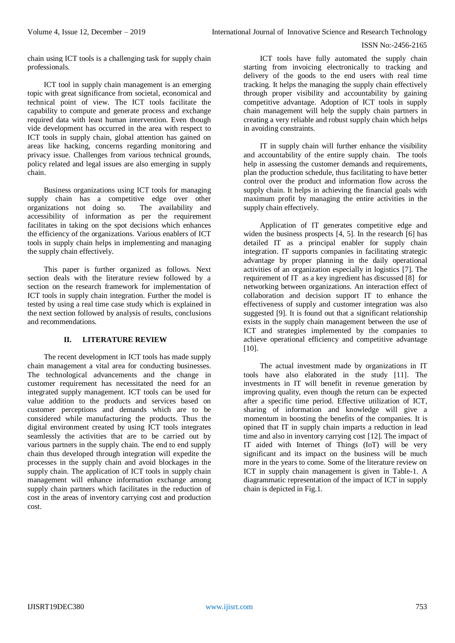chain using ICT tools is a challenging task for supply chain professionals.

ICT tool in supply chain management is an emerging topic with great significance from societal, economical and technical point of view. The ICT tools facilitate the capability to compute and generate process and exchange required data with least human intervention. Even though vide development has occurred in the area with respect to ICT tools in supply chain, global attention has gained on areas like hacking, concerns regarding monitoring and privacy issue. Challenges from various technical grounds, policy related and legal issues are also emerging in supply chain.

Business organizations using ICT tools for managing supply chain has a competitive edge over other organizations not doing so. The availability and organizations not doing so. accessibility of information as per the requirement facilitates in taking on the spot decisions which enhances the efficiency of the organizations. Various enablers of ICT tools in supply chain helps in implementing and managing the supply chain effectively.

This paper is further organized as follows. Next section deals with the literature review followed by a section on the research framework for implementation of ICT tools in supply chain integration. Further the model is tested by using a real time case study which is explained in the next section followed by analysis of results, conclusions and recommendations.

## **II. LITERATURE REVIEW**

The recent development in ICT tools has made supply chain management a vital area for conducting businesses. The technological advancements and the change in customer requirement has necessitated the need for an integrated supply management. ICT tools can be used for value addition to the products and services based on customer perceptions and demands which are to be considered while manufacturing the products. Thus the digital environment created by using ICT tools integrates seamlessly the activities that are to be carried out by various partners in the supply chain. The end to end supply chain thus developed through integration will expedite the processes in the supply chain and avoid blockages in the supply chain. The application of ICT tools in supply chain management will enhance information exchange among supply chain partners which facilitates in the reduction of cost in the areas of inventory carrying cost and production cost.

ICT tools have fully automated the supply chain starting from invoicing electronically to tracking and delivery of the goods to the end users with real time tracking. It helps the managing the supply chain effectively through proper visibility and accountability by gaining competitive advantage. Adoption of ICT tools in supply chain management will help the supply chain partners in creating a very reliable and robust supply chain which helps in avoiding constraints.

IT in supply chain will further enhance the visibility and accountability of the entire supply chain. The tools help in assessing the customer demands and requirements, plan the production schedule, thus facilitating to have better control over the product and information flow across the supply chain. It helps in achieving the financial goals with maximum profit by managing the entire activities in the supply chain effectively.

Application of IT generates competitive edge and widen the business prospects [4, 5]. In the research [6] has detailed IT as a principal enabler for supply chain integration. IT supports companies in facilitating strategic advantage by proper planning in the daily operational activities of an organization especially in logistics [7]. The requirement of IT as a key ingredient has discussed [8] for networking between organizations. An interaction effect of collaboration and decision support IT to enhance the effectiveness of supply and customer integration was also suggested [9]. It is found out that a significant relationship exists in the supply chain management between the use of ICT and strategies implemented by the companies to achieve operational efficiency and competitive advantage [10].

The actual investment made by organizations in IT tools have also elaborated in the study [11]. The investments in IT will benefit in revenue generation by improving quality, even though the return can be expected after a specific time period. Effective utilization of ICT, sharing of information and knowledge will give a momentum in boosting the benefits of the companies. It is opined that IT in supply chain imparts a reduction in lead time and also in inventory carrying cost [12]. The impact of IT aided with Internet of Things (IoT) will be very significant and its impact on the business will be much more in the years to come. Some of the literature review on ICT in supply chain management is given in Table-1. A diagrammatic representation of the impact of ICT in supply chain is depicted in Fig.1.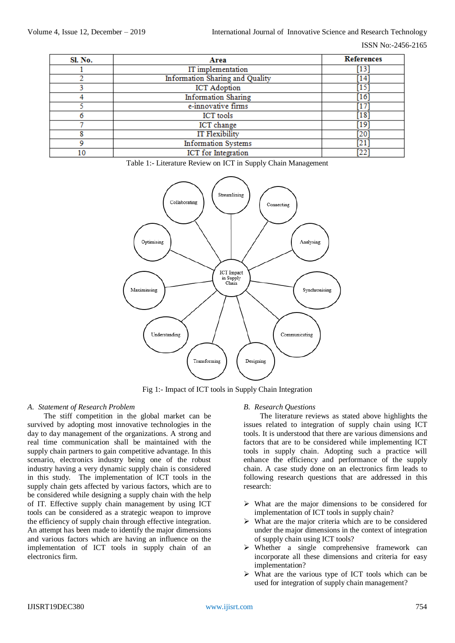| Sl. No. | Area                                             | <b>References</b> |
|---------|--------------------------------------------------|-------------------|
|         | IT implementation<br>[13]                        |                   |
|         | <b>Information Sharing and Quality</b><br>[14]   |                   |
|         | $[15]$<br><b>ICT</b> Adoption                    |                   |
|         | <b>Information Sharing</b><br>[16]               |                   |
|         | e-innovative firms<br>[17]                       |                   |
|         | [18]<br><b>ICT</b> tools                         |                   |
|         | [19]<br><b>ICT</b> change                        |                   |
| 8       | <b>IT Flexibility</b><br>[20]                    |                   |
| 9       | <b>Information Systems</b><br>$\left[ 21\right]$ |                   |
| 10      | ICT for Integration<br>[22]                      |                   |

Table 1:- Literature Review on ICT in Supply Chain Management



Fig 1:- Impact of ICT tools in Supply Chain Integration

## *A. Statement of Research Problem*

The stiff competition in the global market can be survived by adopting most innovative technologies in the day to day management of the organizations. A strong and real time communication shall be maintained with the supply chain partners to gain competitive advantage. In this scenario, electronics industry being one of the robust industry having a very dynamic supply chain is considered in this study. The implementation of ICT tools in the supply chain gets affected by various factors, which are to be considered while designing a supply chain with the help of IT. Effective supply chain management by using ICT tools can be considered as a strategic weapon to improve the efficiency of supply chain through effective integration. An attempt has been made to identify the major dimensions and various factors which are having an influence on the implementation of ICT tools in supply chain of an electronics firm.

## *B. Research Questions*

The literature reviews as stated above highlights the issues related to integration of supply chain using ICT tools. It is understood that there are various dimensions and factors that are to be considered while implementing ICT tools in supply chain. Adopting such a practice will enhance the efficiency and performance of the supply chain. A case study done on an electronics firm leads to following research questions that are addressed in this research:

- $\triangleright$  What are the major dimensions to be considered for implementation of ICT tools in supply chain?
- $\triangleright$  What are the major criteria which are to be considered under the major dimensions in the context of integration of supply chain using ICT tools?
- $\triangleright$  Whether a single comprehensive framework can incorporate all these dimensions and criteria for easy implementation?
- $\triangleright$  What are the various type of ICT tools which can be used for integration of supply chain management?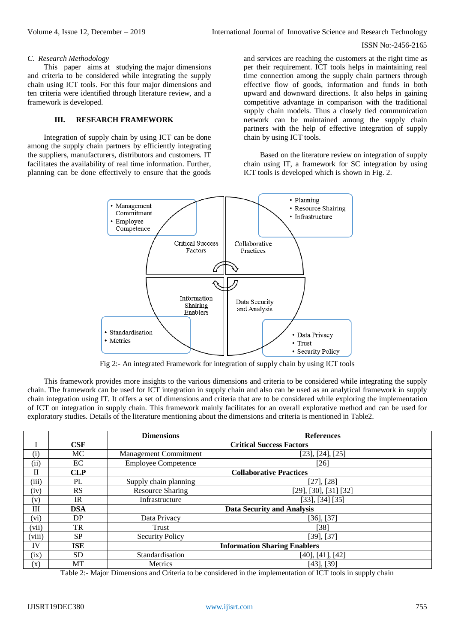#### *C. Research Methodology*

This paper aims at studying the major dimensions and criteria to be considered while integrating the supply chain using ICT tools. For this four major dimensions and ten criteria were identified through literature review, and a framework is developed.

#### **III. RESEARCH FRAMEWORK**

Integration of supply chain by using ICT can be done among the supply chain partners by efficiently integrating the suppliers, manufacturers, distributors and customers. IT facilitates the availability of real time information. Further, planning can be done effectively to ensure that the goods

and services are reaching the customers at the right time as per their requirement. ICT tools helps in maintaining real time connection among the supply chain partners through effective flow of goods, information and funds in both upward and downward directions. It also helps in gaining competitive advantage in comparison with the traditional supply chain models. Thus a closely tied communication network can be maintained among the supply chain partners with the help of effective integration of supply chain by using ICT tools.

Based on the literature review on integration of supply chain using IT, a framework for SC integration by using ICT tools is developed which is shown in Fig. 2.



Fig 2:- An integrated Framework for integration of supply chain by using ICT tools

This framework provides more insights to the various dimensions and criteria to be considered while integrating the supply chain. The framework can be used for ICT integration in supply chain and also can be used as an analytical framework in supply chain integration using IT. It offers a set of dimensions and criteria that are to be considered while exploring the implementation of ICT on integration in supply chain. This framework mainly facilitates for an overall explorative method and can be used for exploratory studies. Details of the literature mentioning about the dimensions and criteria is mentioned in Table2.

|                |            | <b>Dimensions</b>                   | <b>References</b>        |
|----------------|------------|-------------------------------------|--------------------------|
|                | CSF        | <b>Critical Success Factors</b>     |                          |
| (i)            | MC         | Management Commitment               | [23], [24], [25]         |
| (ii)           | EC         | <b>Employee Competence</b>          | $[26]$                   |
| П              | <b>CLP</b> | <b>Collaborative Practices</b>      |                          |
| (iii)          | PL         | Supply chain planning               | [27], [28]               |
| (iv)           | <b>RS</b>  | <b>Resource Sharing</b>             | [29], [30], [31] [32]    |
| (v)            | IR         | Infrastructure                      | $[33]$ , $[34]$ $[35]$   |
| Ш              | <b>DSA</b> | <b>Data Security and Analysis</b>   |                          |
| (vi)           | DP         | Data Privacy                        | $[36]$ , $[37]$          |
| (vii)          | TR         | Trust                               | [38]                     |
| (viii)         | <b>SP</b>  | <b>Security Policy</b>              | [39], [37]               |
| IV             | <b>ISE</b> | <b>Information Sharing Enablers</b> |                          |
| (ix)           | SD.        | Standardisation                     | $[40]$ , $[41]$ , $[42]$ |
| $(\mathbf{x})$ | МT         | Metrics                             | $[43]$ , $[39]$          |

Table 2:- Major Dimensions and Criteria to be considered in the implementation of ICT tools in supply chain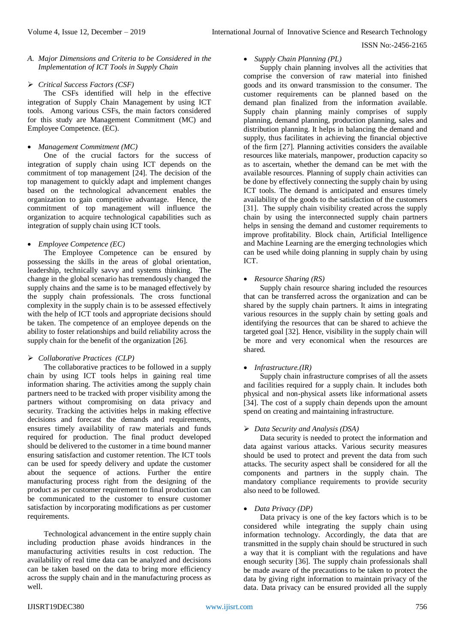## *A. Major Dimensions and Criteria to be Considered in the Implementation of ICT Tools in Supply Chain*

# *Critical Success Factors (CSF)*

The CSFs identified will help in the effective integration of Supply Chain Management by using ICT tools. Among various CSFs, the main factors considered for this study are Management Commitment (MC) and Employee Competence. (EC).

## *Management Commitment (MC)*

One of the crucial factors for the success of integration of supply chain using ICT depends on the commitment of top management [24]. The decision of the top management to quickly adapt and implement changes based on the technological advancement enables the organization to gain competitive advantage. Hence, the commitment of top management will influence the organization to acquire technological capabilities such as integration of supply chain using ICT tools.

## *Employee Competence (EC)*

The Employee Competence can be ensured by possessing the skills in the areas of global orientation, leadership, technically savvy and systems thinking. The change in the global scenario has tremendously changed the supply chains and the same is to be managed effectively by the supply chain professionals. The cross functional complexity in the supply chain is to be assessed effectively with the help of ICT tools and appropriate decisions should be taken. The competence of an employee depends on the ability to foster relationships and build reliability across the supply chain for the benefit of the organization [26].

# *Collaborative Practices (CLP)*

The collaborative practices to be followed in a supply chain by using ICT tools helps in gaining real time information sharing. The activities among the supply chain partners need to be tracked with proper visibility among the partners without compromising on data privacy and security. Tracking the activities helps in making effective decisions and forecast the demands and requirements, ensures timely availability of raw materials and funds required for production. The final product developed should be delivered to the customer in a time bound manner ensuring satisfaction and customer retention. The ICT tools can be used for speedy delivery and update the customer about the sequence of actions. Further the entire manufacturing process right from the designing of the product as per customer requirement to final production can be communicated to the customer to ensure customer satisfaction by incorporating modifications as per customer requirements.

Technological advancement in the entire supply chain including production phase avoids hindrances in the manufacturing activities results in cost reduction. The availability of real time data can be analyzed and decisions can be taken based on the data to bring more efficiency across the supply chain and in the manufacturing process as well.

# *Supply Chain Planning (PL)*

Supply chain planning involves all the activities that comprise the conversion of raw material into finished goods and its onward transmission to the consumer. The customer requirements can be planned based on the demand plan finalized from the information available. Supply chain planning mainly comprises of supply planning, demand planning, production planning, sales and distribution planning. It helps in balancing the demand and supply, thus facilitates in achieving the financial objective of the firm [27]. Planning activities considers the available resources like materials, manpower, production capacity so as to ascertain, whether the demand can be met with the available resources. Planning of supply chain activities can be done by effectively connecting the supply chain by using ICT tools. The demand is anticipated and ensures timely availability of the goods to the satisfaction of the customers [31]. The supply chain visibility created across the supply chain by using the interconnected supply chain partners helps in sensing the demand and customer requirements to improve profitability. Block chain, Artificial Intelligence and Machine Learning are the emerging technologies which can be used while doing planning in supply chain by using ICT.

# *Resource Sharing (RS)*

Supply chain resource sharing included the resources that can be transferred across the organization and can be shared by the supply chain partners. It aims in integrating various resources in the supply chain by setting goals and identifying the resources that can be shared to achieve the targeted goal [32]. Hence, visibility in the supply chain will be more and very economical when the resources are shared.

## *Infrastructure.(IR)*

Supply chain infrastructure comprises of all the assets and facilities required for a supply chain. It includes both physical and non-physical assets like informational assets [34]. The cost of a supply chain depends upon the amount spend on creating and maintaining infrastructure.

# *Data Security and Analysis (DSA)*

Data security is needed to protect the information and data against various attacks. Various security measures should be used to protect and prevent the data from such attacks. The security aspect shall be considered for all the components and partners in the supply chain. The mandatory compliance requirements to provide security also need to be followed.

## *Data Privacy (DP)*

Data privacy is one of the key factors which is to be considered while integrating the supply chain using information technology. Accordingly, the data that are transmitted in the supply chain should be structured in such a way that it is compliant with the regulations and have enough security [36]. The supply chain professionals shall be made aware of the precautions to be taken to protect the data by giving right information to maintain privacy of the data. Data privacy can be ensured provided all the supply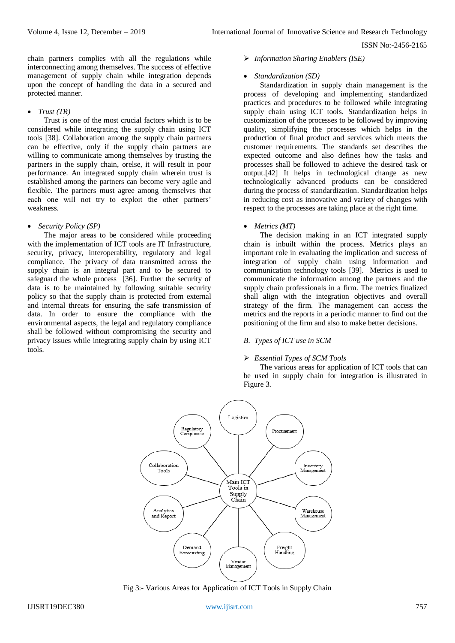chain partners complies with all the regulations while interconnecting among themselves. The success of effective management of supply chain while integration depends upon the concept of handling the data in a secured and protected manner.

#### *Trust (TR)*

Trust is one of the most crucial factors which is to be considered while integrating the supply chain using ICT tools [38]. Collaboration among the supply chain partners can be effective, only if the supply chain partners are willing to communicate among themselves by trusting the partners in the supply chain, orelse, it will result in poor performance. An integrated supply chain wherein trust is established among the partners can become very agile and flexible. The partners must agree among themselves that each one will not try to exploit the other partners' weakness.

## *Security Policy (SP)*

The major areas to be considered while proceeding with the implementation of ICT tools are IT Infrastructure, security, privacy, interoperability, regulatory and legal compliance. The privacy of data transmitted across the supply chain is an integral part and to be secured to safeguard the whole process [36]. Further the security of data is to be maintained by following suitable security policy so that the supply chain is protected from external and internal threats for ensuring the safe transmission of data. In order to ensure the compliance with the environmental aspects, the legal and regulatory compliance shall be followed without compromising the security and privacy issues while integrating supply chain by using ICT tools.

*Information Sharing Enablers (ISE)*

#### *Standardization (SD)*

Standardization in supply chain management is the process of developing and implementing standardized practices and procedures to be followed while integrating supply chain using ICT tools. Standardization helps in customization of the processes to be followed by improving quality, simplifying the processes which helps in the production of final product and services which meets the customer requirements. The standards set describes the expected outcome and also defines how the tasks and processes shall be followed to achieve the desired task or output.[42] It helps in technological change as new technologically advanced products can be considered during the process of standardization. Standardization helps in reducing cost as innovative and variety of changes with respect to the processes are taking place at the right time.

### *Metrics (MT)*

The decision making in an ICT integrated supply chain is inbuilt within the process. Metrics plays an important role in evaluating the implication and success of integration of supply chain using information and communication technology tools [39]. Metrics is used to communicate the information among the partners and the supply chain professionals in a firm. The metrics finalized shall align with the integration objectives and overall strategy of the firm. The management can access the metrics and the reports in a periodic manner to find out the positioning of the firm and also to make better decisions.

## *B. Types of ICT use in SCM*

#### *Essential Types of SCM Tools*

The various areas for application of ICT tools that can be used in supply chain for integration is illustrated in Figure 3.



Fig 3:- Various Areas for Application of ICT Tools in Supply Chain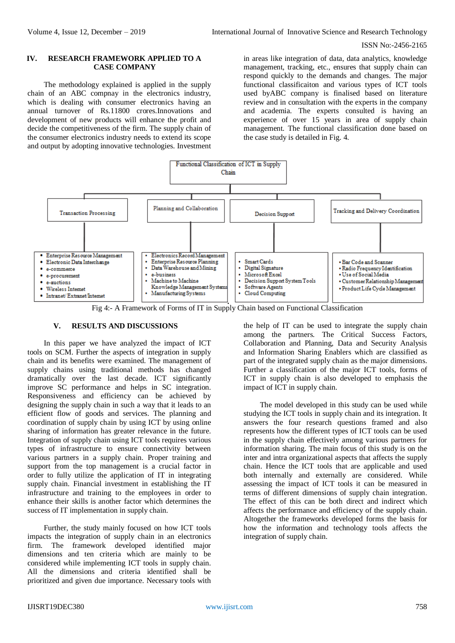### **IV. RESEARCH FRAMEWORK APPLIED TO A CASE COMPANY**

The methodology explained is applied in the supply chain of an ABC compnay in the electronics industry, which is dealing with consumer electronics having an annual turnover of Rs.11800 crores.Innovations and development of new products will enhance the profit and decide the competitiveness of the firm. The supply chain of the consumer electronics industry needs to extend its scope and output by adopting innovative technologies. Investment

in areas like integration of data, data analytics, knowledge management, tracking, etc., ensures that supply chain can respond quickly to the demands and changes. The major functional classificaiton and various types of ICT tools used byABC company is finalised based on literature review and in consultation with the experts in the company and academia. The experts consulted is having an experience of over 15 years in area of supply chain management. The functional classification done based on the case study is detailed in Fig. 4.



Fig 4:- A Framework of Forms of IT in Supply Chain based on Functional Classification

## **V. RESULTS AND DISCUSSIONS**

In this paper we have analyzed the impact of ICT tools on SCM. Further the aspects of integration in supply chain and its benefits were examined. The management of supply chains using traditional methods has changed dramatically over the last decade. ICT significantly improve SC performance and helps in SC integration. Responsiveness and efficiency can be achieved by designing the supply chain in such a way that it leads to an efficient flow of goods and services. The planning and coordination of supply chain by using ICT by using online sharing of information has greater relevance in the future. Integration of supply chain using ICT tools requires various types of infrastructure to ensure connectivity between various partners in a supply chain. Proper training and support from the top management is a crucial factor in order to fully utilize the application of IT in integrating supply chain. Financial investment in establishing the IT infrastructure and training to the employees in order to enhance their skills is another factor which determines the success of IT implementation in supply chain.

Further, the study mainly focused on how ICT tools impacts the integration of supply chain in an electronics firm. The framework developed identified major dimensions and ten criteria which are mainly to be considered while implementing ICT tools in supply chain. All the dimensions and criteria identified shall be prioritized and given due importance. Necessary tools with the help of IT can be used to integrate the supply chain among the partners. The Critical Success Factors, Collaboration and Planning, Data and Security Analysis and Information Sharing Enablers which are classified as part of the integrated supply chain as the major dimensions. Further a classification of the major ICT tools, forms of ICT in supply chain is also developed to emphasis the impact of ICT in supply chain.

The model developed in this study can be used while studying the ICT tools in supply chain and its integration. It answers the four research questions framed and also represents how the different types of ICT tools can be used in the supply chain effectively among various partners for information sharing. The main focus of this study is on the inter and intra organizational aspects that affects the supply chain. Hence the ICT tools that are applicable and used both internally and externally are considered. While assessing the impact of ICT tools it can be measured in terms of different dimensions of supply chain integration. The effect of this can be both direct and indirect which affects the performance and efficiency of the supply chain. Altogether the frameworks developed forms the basis for how the information and technology tools affects the integration of supply chain.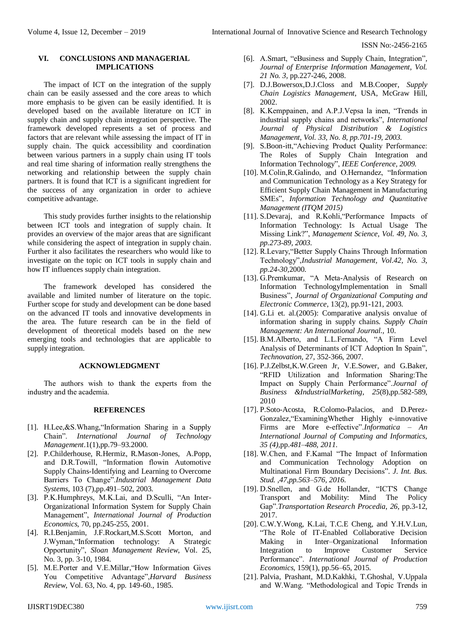### **VI. CONCLUSIONS AND MANAGERIAL IMPLICATIONS**

The impact of ICT on the integration of the supply chain can be easily assessed and the core areas to which more emphasis to be given can be easily identified. It is developed based on the available literature on ICT in supply chain and supply chain integration perspective. The framework developed represents a set of process and factors that are relevant while assessing the impact of IT in supply chain. The quick accessibility and coordination between various partners in a supply chain using IT tools and real time sharing of information really strengthens the networking and relationship between the supply chain partners. It is found that ICT is a significant ingredient for the success of any organization in order to achieve competitive advantage.

This study provides further insights to the relationship between ICT tools and integration of supply chain. It provides an overview of the major areas that are significant while considering the aspect of integration in supply chain. Further it also facilitates the researchers who would like to investigate on the topic on ICT tools in supply chain and how IT influences supply chain integration.

The framework developed has considered the available and limited number of literature on the topic. Further scope for study and development can be done based on the advanced IT tools and innovative developments in the area. The future research can be in the field of development of theoretical models based on the new emerging tools and technologies that are applicable to supply integration.

#### **ACKNOWLEDGMENT**

The authors wish to thank the experts from the industry and the academia.

#### **REFERENCES**

- [1]. H.Lee,&S.Whang,"Information Sharing in a Supply Chain". *International Journal of Technology Management*.1(1),pp.79–93.2000.
- [2]. P.Childerhouse, R.Hermiz, R.Mason-Jones, A.Popp, and D.R.Towill, "Information flowin Automotive Supply Chains-Identifying and Learning to Overcome Barriers To Change".*Industrial Management Data Systems*, 103 (7),pp.491–502, 2003.
- [3]. P.K.Humphreys, M.K.Lai, and D.Sculli, "An Inter-Organizational Information System for Supply Chain Management", *International Journal of Production Economics,* 70, pp.245-255, 2001.
- [4]. R.I.Benjamin, J.F.Rockart,M.S.Scott Morton, and J.Wyman,"Information technology: A Strategic Opportunity", *Sloan Management Review*, Vol. 25, No. 3, pp. 3-10, 1984.
- [5]. M.E.Porter and V.E.Millar,"How Information Gives You Competitive Advantage",*Harvard Business Review*, Vol. 63, No. 4, pp. 149-60., 1985.
- [6]. A.Smart, "eBusiness and Supply Chain, Integration"*, Journal of Enterprise Information Management, Vol. 21 No. 3,* pp.227-246, 2008.
- [7]. D.J.Bowersox,D.J.Closs and M.B.Cooper, *Supply Chain Logistics Management*, USA, McGraw Hill, 2002.
- [8]. K.Kemppainen, and A.P.J.Vepsa la inen, "Trends in industrial supply chains and networks", *International Journal of Physical Distribution & Logistics Management, Vol. 33, No. 8, pp.701-19, 2003.*
- [9]. S.Boon-itt,"Achieving Product Quality Performance: The Roles of Supply Chain Integration and Information Technology", *IEEE Conference, 2009.*
- [10]. M.Colin, R.Galindo, and O.Hernandez, "Information and Communication Technology as a Key Strategy for Efficient Supply Chain Management in Manufacturing SMEs", *Information Technology and Quantitative Management (ITQM 2015)*
- [11]. S.Devaraj, and R.Kohli,"Performance Impacts of Information Technology: Is Actual Usage The Missing Link?", *Management Science, Vol. 49, No. 3, pp.273-89, 2003.*
- [12]. R.Levary,"Better Supply Chains Through Information Technology",*Industrial Management, Vol.42, No. 3, pp.24-30,*2000.
- [13]. G.Premkumar, "A Meta-Analysis of Research on Information TechnologyImplementation in Small Business", *Journal of Organizational Computing and Electronic Commerce*, 13(2), pp.91-121, 2003.
- [14]. G.Li et. al.(2005): Comparative analysis onvalue of information sharing in supply chains. *Supply Chain Management: An International Journal.,* 10.
- [15]. B.M.Alberto, and L.L.Fernando, "A Firm Level Analysis of Determinants of ICT Adoption In Spain", *Technovation,* 27, 352-366, 2007.
- [16]. P.J.Zelbst,K.W.Green Jr, V.E.Sower, and G.Baker, "RFID Utilization and Information Sharing:The Impact on Supply Chain Performance".*Journal of Business &IndustrialMarketing*, *25*(8),pp.582-589, 2010
- [17]. P.Soto-Acosta, R.Colomo-Palacios, and D.Perez-Gonzalez,"ExaminingWhether Highly e-innovative Firms are More e-effective".*Informatica – An International Journal of Computing and Informatics, 35 (4),*pp.*481–488, 2011.*
- [18]. W.Chen, and F.Kamal "The Impact of Information and Communication Technology Adoption on Multinational Firm Boundary Decisions"*. J. Int. Bus. Stud. ,47,pp.563–576, 2016.*
- [19]. D.Snellen, and G.de Hollander, "ICT'S Change Transport and Mobility: Mind The Policy Gap".*Transportation Research Procedia*, *26*, pp.3-12, 2017.
- [20]. C.W.Y.Wong, K.Lai, T.C.E Cheng, and Y.H.V.Lun, "The Role of IT-Enabled Collaborative Decision Making in Inter–Organizational Information Integration to Improve Customer Service Performance". *International Journal of Production Economics,* 159(1), pp.56–65, 2015.
- [21]. Palvia, Prashant, M.D.Kakhki, T.Ghoshal, V.Uppala and W.Wang. "Methodological and Topic Trends in